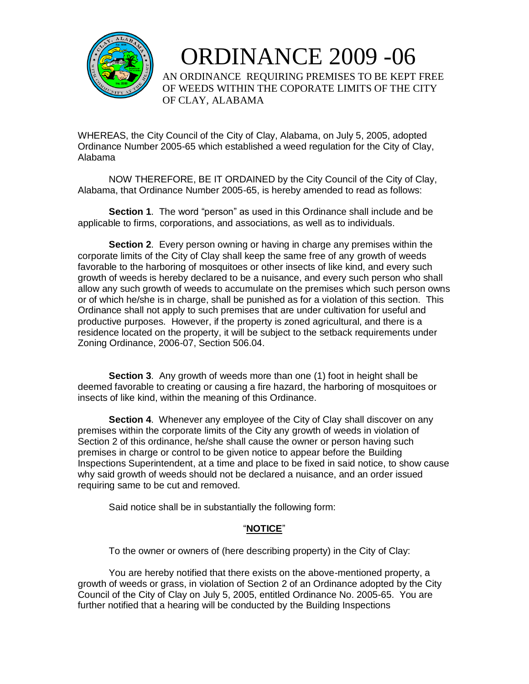

 ORDINANCE 2009 -06 AN ORDINANCE REQUIRING PREMISES TO BE KEPT FREE OF WEEDS WITHIN THE COPORATE LIMITS OF THE CITY OF CLAY, ALABAMA

WHEREAS, the City Council of the City of Clay, Alabama, on July 5, 2005, adopted Ordinance Number 2005-65 which established a weed regulation for the City of Clay, Alabama

NOW THEREFORE, BE IT ORDAINED by the City Council of the City of Clay, Alabama, that Ordinance Number 2005-65, is hereby amended to read as follows:

**Section 1**. The word "person" as used in this Ordinance shall include and be applicable to firms, corporations, and associations, as well as to individuals.

**Section 2**. Every person owning or having in charge any premises within the corporate limits of the City of Clay shall keep the same free of any growth of weeds favorable to the harboring of mosquitoes or other insects of like kind, and every such growth of weeds is hereby declared to be a nuisance, and every such person who shall allow any such growth of weeds to accumulate on the premises which such person owns or of which he/she is in charge, shall be punished as for a violation of this section. This Ordinance shall not apply to such premises that are under cultivation for useful and productive purposes. However, if the property is zoned agricultural, and there is a residence located on the property, it will be subject to the setback requirements under Zoning Ordinance, 2006-07, Section 506.04.

**Section 3.** Any growth of weeds more than one (1) foot in height shall be deemed favorable to creating or causing a fire hazard, the harboring of mosquitoes or insects of like kind, within the meaning of this Ordinance.

**Section 4**. Whenever any employee of the City of Clay shall discover on any premises within the corporate limits of the City any growth of weeds in violation of Section 2 of this ordinance, he/she shall cause the owner or person having such premises in charge or control to be given notice to appear before the Building Inspections Superintendent, at a time and place to be fixed in said notice, to show cause why said growth of weeds should not be declared a nuisance, and an order issued requiring same to be cut and removed.

Said notice shall be in substantially the following form:

## "**NOTICE**"

To the owner or owners of (here describing property) in the City of Clay:

You are hereby notified that there exists on the above-mentioned property, a growth of weeds or grass, in violation of Section 2 of an Ordinance adopted by the City Council of the City of Clay on July 5, 2005, entitled Ordinance No. 2005-65. You are further notified that a hearing will be conducted by the Building Inspections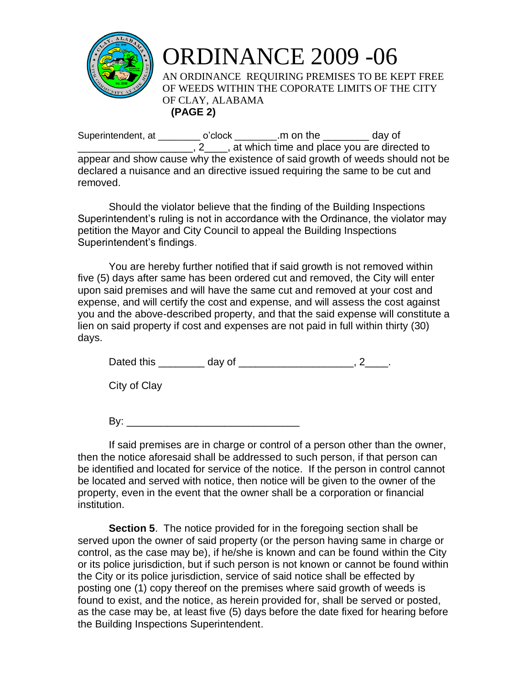

ORDINANCE 2009 -06 AN ORDINANCE REQUIRING PREMISES TO BE KEPT FREE OF WEEDS WITHIN THE COPORATE LIMITS OF THE CITY OF CLAY, ALABAMA **(PAGE 2)**

Superintendent, at \_\_\_\_\_\_\_\_\_ o'clock \_\_\_\_\_\_\_\_.m on the \_\_\_\_\_\_\_\_ day of **Example 2**, 2, at which time and place you are directed to appear and show cause why the existence of said growth of weeds should not be declared a nuisance and an directive issued requiring the same to be cut and removed.

Should the violator believe that the finding of the Building Inspections Superintendent's ruling is not in accordance with the Ordinance, the violator may petition the Mayor and City Council to appeal the Building Inspections Superintendent's findings.

You are hereby further notified that if said growth is not removed within five (5) days after same has been ordered cut and removed, the City will enter upon said premises and will have the same cut and removed at your cost and expense, and will certify the cost and expense, and will assess the cost against you and the above-described property, and that the said expense will constitute a lien on said property if cost and expenses are not paid in full within thirty (30) days.

Dated this day of the control of the control of the control of the control of the control of the control of the control of the control of the control of the control of the control of the control of the control of the contr

City of Clay

 $\mathsf{By:}$ 

If said premises are in charge or control of a person other than the owner, then the notice aforesaid shall be addressed to such person, if that person can be identified and located for service of the notice. If the person in control cannot be located and served with notice, then notice will be given to the owner of the property, even in the event that the owner shall be a corporation or financial institution.

**Section 5**. The notice provided for in the foregoing section shall be served upon the owner of said property (or the person having same in charge or control, as the case may be), if he/she is known and can be found within the City or its police jurisdiction, but if such person is not known or cannot be found within the City or its police jurisdiction, service of said notice shall be effected by posting one (1) copy thereof on the premises where said growth of weeds is found to exist, and the notice, as herein provided for, shall be served or posted, as the case may be, at least five (5) days before the date fixed for hearing before the Building Inspections Superintendent.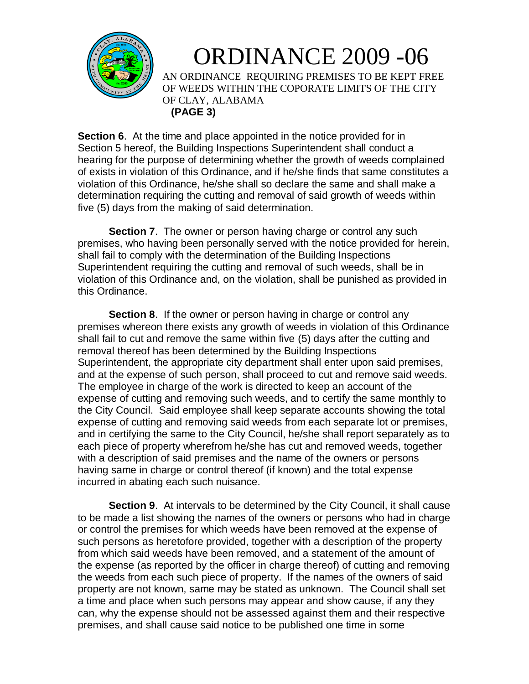

## ORDINANCE 2009 -06

AN ORDINANCE REQUIRING PREMISES TO BE KEPT FREE OF WEEDS WITHIN THE COPORATE LIMITS OF THE CITY OF CLAY, ALABAMA **(PAGE 3)**

**Section 6**. At the time and place appointed in the notice provided for in Section 5 hereof, the Building Inspections Superintendent shall conduct a hearing for the purpose of determining whether the growth of weeds complained of exists in violation of this Ordinance, and if he/she finds that same constitutes a violation of this Ordinance, he/she shall so declare the same and shall make a determination requiring the cutting and removal of said growth of weeds within five (5) days from the making of said determination.

**Section 7**. The owner or person having charge or control any such premises, who having been personally served with the notice provided for herein, shall fail to comply with the determination of the Building Inspections Superintendent requiring the cutting and removal of such weeds, shall be in violation of this Ordinance and, on the violation, shall be punished as provided in this Ordinance.

**Section 8.** If the owner or person having in charge or control any premises whereon there exists any growth of weeds in violation of this Ordinance shall fail to cut and remove the same within five (5) days after the cutting and removal thereof has been determined by the Building Inspections Superintendent, the appropriate city department shall enter upon said premises, and at the expense of such person, shall proceed to cut and remove said weeds. The employee in charge of the work is directed to keep an account of the expense of cutting and removing such weeds, and to certify the same monthly to the City Council. Said employee shall keep separate accounts showing the total expense of cutting and removing said weeds from each separate lot or premises, and in certifying the same to the City Council, he/she shall report separately as to each piece of property wherefrom he/she has cut and removed weeds, together with a description of said premises and the name of the owners or persons having same in charge or control thereof (if known) and the total expense incurred in abating each such nuisance.

**Section 9.** At intervals to be determined by the City Council, it shall cause to be made a list showing the names of the owners or persons who had in charge or control the premises for which weeds have been removed at the expense of such persons as heretofore provided, together with a description of the property from which said weeds have been removed, and a statement of the amount of the expense (as reported by the officer in charge thereof) of cutting and removing the weeds from each such piece of property. If the names of the owners of said property are not known, same may be stated as unknown. The Council shall set a time and place when such persons may appear and show cause, if any they can, why the expense should not be assessed against them and their respective premises, and shall cause said notice to be published one time in some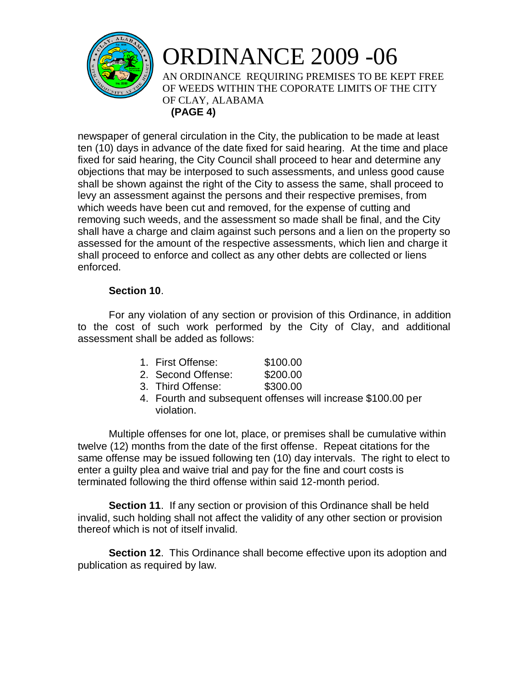

## ORDINANCE 2009 -06 AN ORDINANCE REQUIRING PREMISES TO BE KEPT FREE OF WEEDS WITHIN THE COPORATE LIMITS OF THE CITY OF CLAY, ALABAMA **(PAGE 4)**

newspaper of general circulation in the City, the publication to be made at least ten (10) days in advance of the date fixed for said hearing. At the time and place fixed for said hearing, the City Council shall proceed to hear and determine any objections that may be interposed to such assessments, and unless good cause shall be shown against the right of the City to assess the same, shall proceed to levy an assessment against the persons and their respective premises, from which weeds have been cut and removed, for the expense of cutting and removing such weeds, and the assessment so made shall be final, and the City shall have a charge and claim against such persons and a lien on the property so assessed for the amount of the respective assessments, which lien and charge it shall proceed to enforce and collect as any other debts are collected or liens enforced.

## **Section 10**.

For any violation of any section or provision of this Ordinance, in addition to the cost of such work performed by the City of Clay, and additional assessment shall be added as follows:

| . First Offense: | \$100.00 |
|------------------|----------|
|------------------|----------|

- 2. Second Offense: \$200.00
- 3. Third Offense: \$300.00
- 4. Fourth and subsequent offenses will increase \$100.00 per violation.

Multiple offenses for one lot, place, or premises shall be cumulative within twelve (12) months from the date of the first offense. Repeat citations for the same offense may be issued following ten (10) day intervals. The right to elect to enter a guilty plea and waive trial and pay for the fine and court costs is terminated following the third offense within said 12-month period.

**Section 11.** If any section or provision of this Ordinance shall be held invalid, such holding shall not affect the validity of any other section or provision thereof which is not of itself invalid.

**Section 12**. This Ordinance shall become effective upon its adoption and publication as required by law.